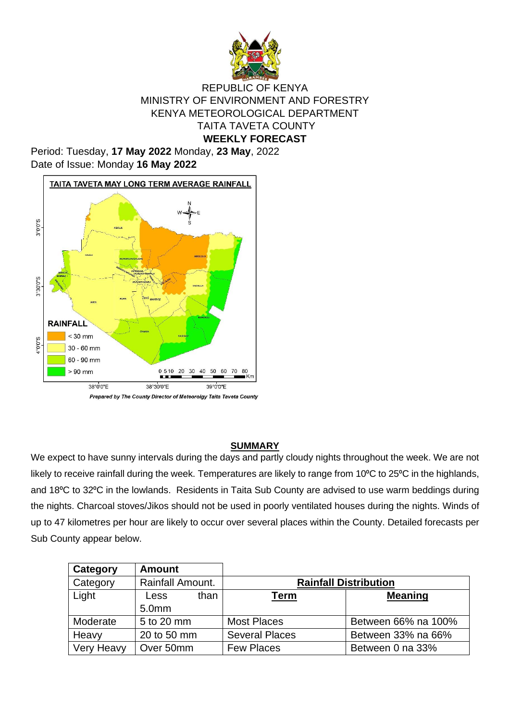

### REPUBLIC OF KENYA MINISTRY OF ENVIRONMENT AND FORESTRY KENYA METEOROLOGICAL DEPARTMENT TAITA TAVETA COUNTY **WEEKLY FORECAST**

Period: Tuesday, **17 May 2022** Monday, **23 May**, 2022 Date of Issue: Monday **16 May 2022**



Prepared by The County Director of Meteorolgy Taita Taveta County

#### **SUMMARY**

We expect to have sunny intervals during the days and partly cloudy nights throughout the week. We are not likely to receive rainfall during the week. Temperatures are likely to range from 10°C to 25°C in the highlands, and 18<sup>o</sup>C to 32<sup>o</sup>C in the lowlands. Residents in Taita Sub County are advised to use warm beddings during the nights. Charcoal stoves/Jikos should not be used in poorly ventilated houses during the nights. Winds of up to 47 kilometres per hour are likely to occur over several places within the County. Detailed forecasts per Sub County appear below.

| Category          | <b>Amount</b>     |      |                              |                     |  |
|-------------------|-------------------|------|------------------------------|---------------------|--|
| Category          | Rainfall Amount.  |      | <b>Rainfall Distribution</b> |                     |  |
| Light             | Less              | than | <u>Term</u>                  | <b>Meaning</b>      |  |
|                   | 5.0 <sub>mm</sub> |      |                              |                     |  |
| Moderate          | 5 to 20 mm        |      | <b>Most Places</b>           | Between 66% na 100% |  |
| Heavy             | 20 to 50 mm       |      | <b>Several Places</b>        | Between 33% na 66%  |  |
| <b>Very Heavy</b> | Over 50mm         |      | <b>Few Places</b>            | Between 0 na 33%    |  |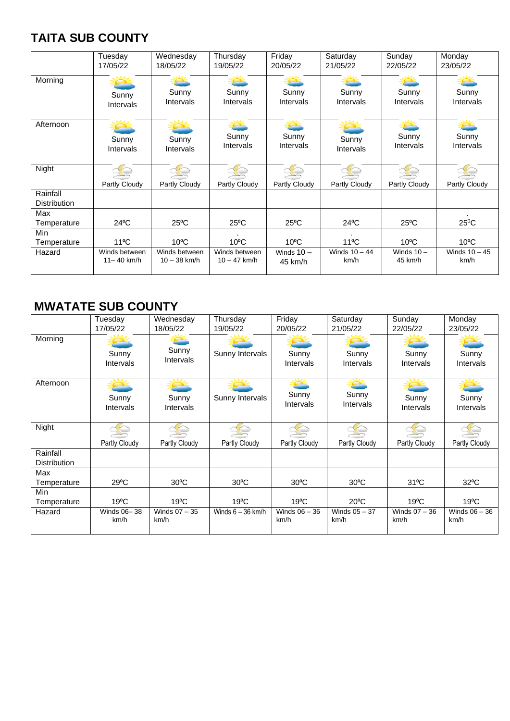# **TAITA SUB COUNTY**

|                                 | Tuesday        | Wednesday        | Thursday         | Friday         | Saturday        | Sunday           | Monday          |
|---------------------------------|----------------|------------------|------------------|----------------|-----------------|------------------|-----------------|
|                                 | 17/05/22       | 18/05/22         | 19/05/22         | 20/05/22       | 21/05/22        | 22/05/22         | 23/05/22        |
| Morning                         | Sunny          | Sunny            | Sunny            | Sunny          | Sunny           | Sunny            | Sunny           |
|                                 | Intervals      | <b>Intervals</b> | <b>Intervals</b> | Intervals      | Intervals       | <b>Intervals</b> | Intervals       |
| Afternoon                       | Sunny          | Sunny            | Sunny            | Sunny          | Sunny           | Sunny            | Sunny           |
|                                 | Intervals      | <b>Intervals</b> | Intervals        | Intervals      | Intervals       | <b>Intervals</b> | Intervals       |
| Night                           | Partly Cloudy  | Partly Cloudy    | Partly Cloudy    | Partly Cloudy  | Partly Cloudy   | Partly Cloudy    | Partly Cloudy   |
| Rainfall<br><b>Distribution</b> |                |                  |                  |                |                 |                  |                 |
| Max<br>Temperature              | $24^{\circ}$ C | $25^{\circ}$ C   | $25^{\circ}$ C   | $25^{\circ}$ C | $24^{\circ}$ C  | $25^{\circ}$ C   | $25^0C$         |
| Min<br>Temperature              | $11^{\circ}$ C | $10^{\circ}$ C   | $10^{\circ}$ C   | $10^{\circ}$ C | $11^{\circ}$ C  | $10^{\circ}$ C   | $10^{\circ}$ C  |
| Hazard                          | Winds between  | Winds between    | Winds between    | Winds $10 -$   | Winds $10 - 44$ | Winds $10 -$     | Winds $10 - 45$ |
|                                 | $11 - 40$ km/h | $10 - 38$ km/h   | $10 - 47$ km/h   | 45 km/h        | km/h            | 45 km/h          | km/h            |

## **MWATATE SUB COUNTY**

|                     | Tuesday             | Wednesday               | Thursday            | Friday                  | Saturday                | Sunday                  | Monday                  |
|---------------------|---------------------|-------------------------|---------------------|-------------------------|-------------------------|-------------------------|-------------------------|
|                     | 17/05/22            | 18/05/22                | 19/05/22            | 20/05/22                | 21/05/22                | 22/05/22                | 23/05/22                |
| Morning             | Sunny<br>Intervals  | Sunny<br>Intervals      | Sunny Intervals     | Sunny<br>Intervals      | Sunny<br>Intervals      | Sunny<br>Intervals      | Sunny<br>Intervals      |
| Afternoon           | Sunny<br>Intervals  | Sunny<br>Intervals      | Sunny Intervals     | Sunny<br>Intervals      | Sunny<br>Intervals      | Sunny<br>Intervals      | Sunny<br>Intervals      |
| Night               |                     |                         |                     |                         |                         |                         |                         |
|                     | Partly Cloudy       | Partly Cloudy           | Partly Cloudy       | Partly Cloudy           | Partly Cloudy           | Partly Cloudy           | Partly Cloudy           |
| Rainfall            |                     |                         |                     |                         |                         |                         |                         |
| <b>Distribution</b> |                     |                         |                     |                         |                         |                         |                         |
| Max                 |                     |                         |                     |                         |                         |                         |                         |
| Temperature         | $29^{\circ}$ C      | $30^{\circ}$ C          | $30^{\circ}$ C      | $30^{\circ}$ C          | $30^{\circ}$ C          | $31^{\circ}$ C          | $32^{\circ}$ C          |
| Min                 |                     |                         |                     |                         |                         |                         |                         |
| Temperature         | $19^{\circ}$ C      | $19^{\circ}$ C          | $19^{\circ}$ C      | $19^{\circ}$ C          | $20^{\circ}$ C          | $19^{\circ}$ C          | $19^{\circ}$ C          |
| Hazard              | Winds 06-38<br>km/h | Winds $07 - 35$<br>km/h | Winds $6 - 36$ km/h | Winds $06 - 36$<br>km/h | Winds $05 - 37$<br>km/h | Winds $07 - 36$<br>km/h | Winds $06 - 36$<br>km/h |